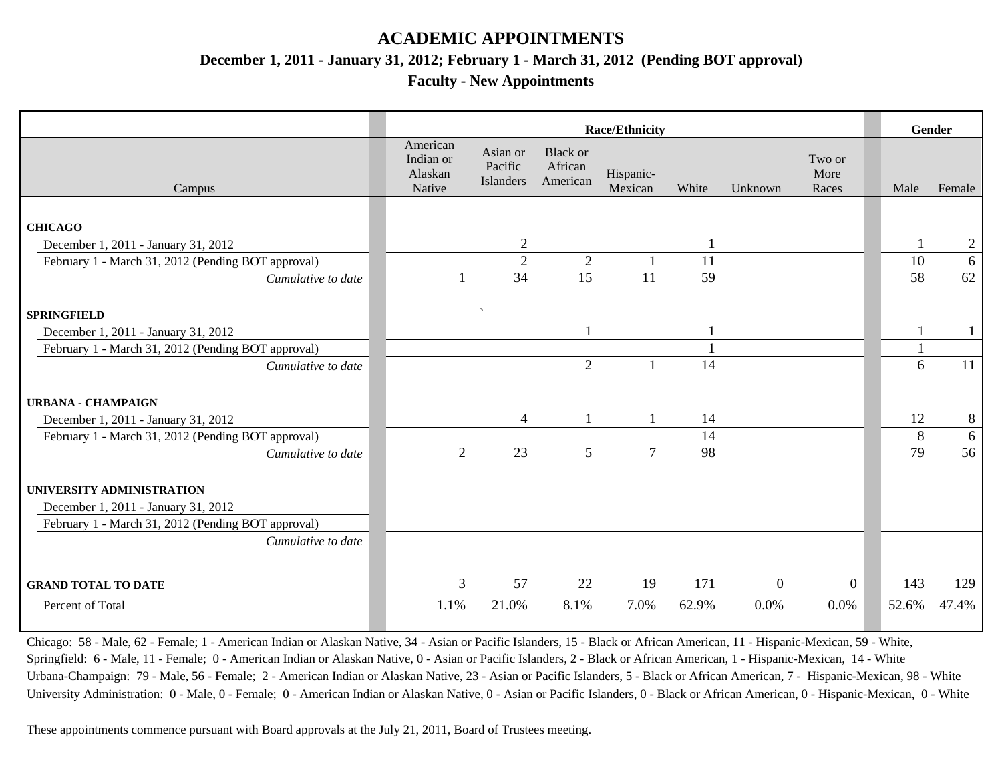## **ACADEMIC APPOINTMENTS**

**December 1, 2011 - January 31, 2012; February 1 - March 31, 2012 (Pending BOT approval)**

**Faculty - New Appointments**

|                                                    | <b>Race/Ethnicity</b>                      |                                  |                                        |                      |       |                |                         |       | Gender         |
|----------------------------------------------------|--------------------------------------------|----------------------------------|----------------------------------------|----------------------|-------|----------------|-------------------------|-------|----------------|
| Campus                                             | American<br>Indian or<br>Alaskan<br>Native | Asian or<br>Pacific<br>Islanders | <b>Black or</b><br>African<br>American | Hispanic-<br>Mexican | White | Unknown        | Two or<br>More<br>Races | Male  | Female         |
|                                                    |                                            |                                  |                                        |                      |       |                |                         |       |                |
| <b>CHICAGO</b>                                     |                                            |                                  |                                        |                      |       |                |                         |       |                |
| December 1, 2011 - January 31, 2012                |                                            | $\overline{2}$                   |                                        |                      |       |                |                         |       | $\overline{c}$ |
| February 1 - March 31, 2012 (Pending BOT approval) |                                            | $\overline{2}$                   | $\overline{2}$                         |                      | 11    |                |                         | 10    | 6              |
| Cumulative to date                                 |                                            | 34                               | 15                                     | 11                   | 59    |                |                         | 58    | 62             |
|                                                    |                                            |                                  |                                        |                      |       |                |                         |       |                |
| <b>SPRINGFIELD</b>                                 |                                            | $\boldsymbol{\checkmark}$        |                                        |                      |       |                |                         |       |                |
| December 1, 2011 - January 31, 2012                |                                            |                                  |                                        |                      |       |                |                         |       |                |
| February 1 - March 31, 2012 (Pending BOT approval) |                                            |                                  |                                        |                      |       |                |                         |       |                |
| Cumulative to date                                 |                                            |                                  | $\overline{2}$                         |                      | 14    |                |                         | 6     | 11             |
|                                                    |                                            |                                  |                                        |                      |       |                |                         |       |                |
| <b>URBANA - CHAMPAIGN</b>                          |                                            |                                  |                                        |                      |       |                |                         |       |                |
| December 1, 2011 - January 31, 2012                |                                            | 4                                |                                        |                      | 14    |                |                         | 12    | 8              |
| February 1 - March 31, 2012 (Pending BOT approval) |                                            |                                  |                                        |                      | 14    |                |                         | 8     | 6              |
| Cumulative to date                                 | $\overline{2}$                             | 23                               | 5                                      | $\overline{7}$       | 98    |                |                         | 79    | 56             |
|                                                    |                                            |                                  |                                        |                      |       |                |                         |       |                |
| UNIVERSITY ADMINISTRATION                          |                                            |                                  |                                        |                      |       |                |                         |       |                |
| December 1, 2011 - January 31, 2012                |                                            |                                  |                                        |                      |       |                |                         |       |                |
| February 1 - March 31, 2012 (Pending BOT approval) |                                            |                                  |                                        |                      |       |                |                         |       |                |
| Cumulative to date                                 |                                            |                                  |                                        |                      |       |                |                         |       |                |
|                                                    |                                            |                                  |                                        |                      |       |                |                         |       |                |
| <b>GRAND TOTAL TO DATE</b>                         | 3                                          | 57                               | 22                                     | 19                   | 171   | $\overline{0}$ | $\overline{0}$          | 143   | 129            |
| Percent of Total                                   | 1.1%                                       | 21.0%                            | 8.1%                                   | 7.0%                 | 62.9% | 0.0%           | 0.0%                    | 52.6% | 47.4%          |
|                                                    |                                            |                                  |                                        |                      |       |                |                         |       |                |

Chicago: 58 - Male, 62 - Female; 1 - American Indian or Alaskan Native, 34 - Asian or Pacific Islanders, 15 - Black or African American, 11 - Hispanic-Mexican, 59 - White, Springfield: 6 - Male, 11 - Female; 0 - American Indian or Alaskan Native, 0 - Asian or Pacific Islanders, 2 - Black or African American, 1 - Hispanic-Mexican, 14 - White Urbana-Champaign: 79 - Male, 56 - Female; 2 - American Indian or Alaskan Native, 23 - Asian or Pacific Islanders, 5 - Black or African American, 7 - Hispanic-Mexican, 98 - White University Administration: 0 - Male, 0 - Female; 0 - American Indian or Alaskan Native, 0 - Asian or Pacific Islanders, 0 - Black or African American, 0 - Hispanic-Mexican, 0 - White

These appointments commence pursuant with Board approvals at the July 21, 2011, Board of Trustees meeting.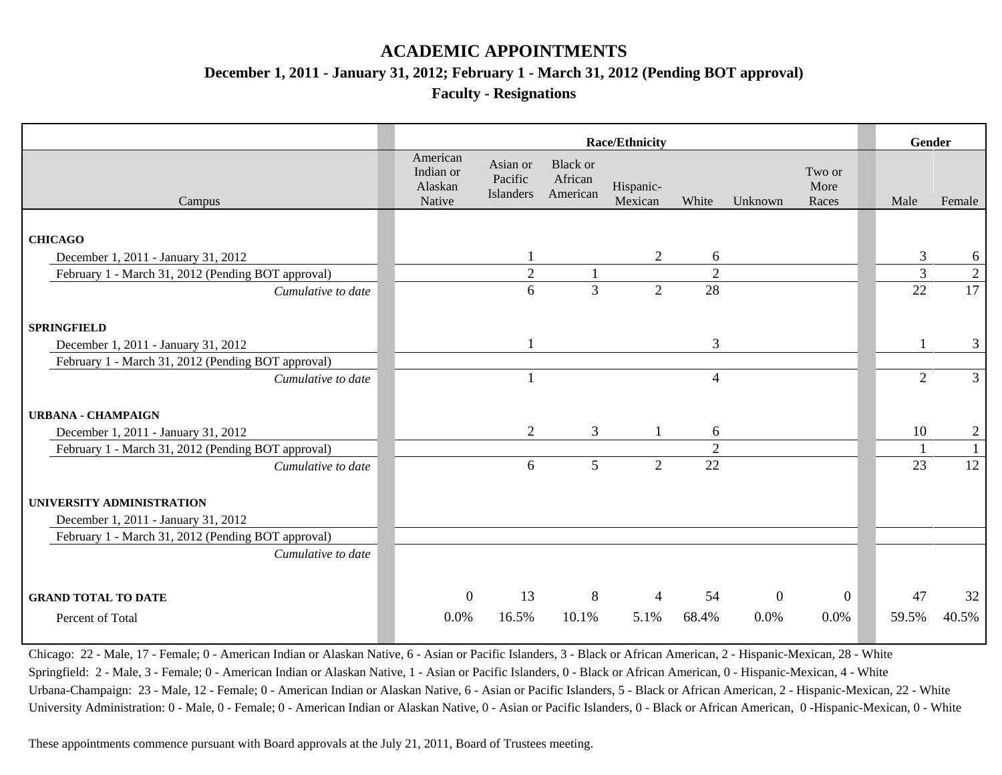## **ACADEMIC APPOINTMENTS**

**December 1, 2011 - January 31, 2012; February 1 - March 31, 2012 (Pending BOT approval)**

**Faculty - Resignations**

|                                                    | <b>Race/Ethnicity</b>                      |                                  |                                        |                      |                |                |                         |  | Gender         |                |
|----------------------------------------------------|--------------------------------------------|----------------------------------|----------------------------------------|----------------------|----------------|----------------|-------------------------|--|----------------|----------------|
| Campus                                             | American<br>Indian or<br>Alaskan<br>Native | Asian or<br>Pacific<br>Islanders | <b>Black or</b><br>African<br>American | Hispanic-<br>Mexican | White          | Unknown        | Two or<br>More<br>Races |  | Male           | Female         |
|                                                    |                                            |                                  |                                        |                      |                |                |                         |  |                |                |
| <b>CHICAGO</b>                                     |                                            |                                  |                                        |                      |                |                |                         |  |                |                |
| December 1, 2011 - January 31, 2012                |                                            |                                  |                                        | $\overline{2}$       | 6              |                |                         |  | $\mathfrak{Z}$ | 6              |
| February 1 - March 31, 2012 (Pending BOT approval) |                                            | $\sqrt{2}$                       |                                        |                      | $\overline{2}$ |                |                         |  | $\overline{3}$ | $\overline{2}$ |
| Cumulative to date                                 |                                            | 6                                | $\overline{3}$                         | $\overline{2}$       | 28             |                |                         |  | 22             | 17             |
|                                                    |                                            |                                  |                                        |                      |                |                |                         |  |                |                |
| <b>SPRINGFIELD</b>                                 |                                            |                                  |                                        |                      |                |                |                         |  |                |                |
| December 1, 2011 - January 31, 2012                |                                            |                                  |                                        |                      | 3              |                |                         |  |                | $\mathfrak{Z}$ |
| February 1 - March 31, 2012 (Pending BOT approval) |                                            |                                  |                                        |                      |                |                |                         |  |                |                |
| Cumulative to date                                 |                                            | $\mathbf{1}$                     |                                        |                      | 4              |                |                         |  | $\overline{2}$ | $\mathfrak{Z}$ |
|                                                    |                                            |                                  |                                        |                      |                |                |                         |  |                |                |
| <b>URBANA - CHAMPAIGN</b>                          |                                            |                                  |                                        |                      |                |                |                         |  |                |                |
| December 1, 2011 - January 31, 2012                |                                            | 2                                | 3                                      |                      | 6              |                |                         |  | 10             | $\overline{c}$ |
| February 1 - March 31, 2012 (Pending BOT approval) |                                            |                                  |                                        |                      | $\mathfrak{2}$ |                |                         |  |                | $\mathbf{1}$   |
| Cumulative to date                                 |                                            | 6                                | 5                                      | $\overline{2}$       | 22             |                |                         |  | 23             | 12             |
|                                                    |                                            |                                  |                                        |                      |                |                |                         |  |                |                |
| UNIVERSITY ADMINISTRATION                          |                                            |                                  |                                        |                      |                |                |                         |  |                |                |
| December 1, 2011 - January 31, 2012                |                                            |                                  |                                        |                      |                |                |                         |  |                |                |
| February 1 - March 31, 2012 (Pending BOT approval) |                                            |                                  |                                        |                      |                |                |                         |  |                |                |
| Cumulative to date                                 |                                            |                                  |                                        |                      |                |                |                         |  |                |                |
|                                                    |                                            |                                  |                                        |                      |                |                |                         |  |                |                |
|                                                    |                                            |                                  |                                        |                      |                |                |                         |  |                |                |
| <b>GRAND TOTAL TO DATE</b>                         | $\overline{0}$                             | 13                               | 8                                      | $\overline{4}$       | 54             | $\overline{0}$ | $\overline{0}$          |  | 47             | 32             |
| Percent of Total                                   | 0.0%                                       | 16.5%                            | 10.1%                                  | 5.1%                 | 68.4%          | 0.0%           | 0.0%                    |  | 59.5%          | 40.5%          |
|                                                    |                                            |                                  |                                        |                      |                |                |                         |  |                |                |

Chicago: 22 - Male, 17 - Female; 0 - American Indian or Alaskan Native, 6 - Asian or Pacific Islanders, 3 - Black or African American, 2 - Hispanic-Mexican, 28 - White Springfield: 2 - Male, 3 - Female; 0 - American Indian or Alaskan Native, 1 - Asian or Pacific Islanders, 0 - Black or African American, 0 - Hispanic-Mexican, 4 - White Urbana-Champaign: 23 - Male, 12 - Female; 0 - American Indian or Alaskan Native, 6 - Asian or Pacific Islanders, 5 - Black or African American, 2 - Hispanic-Mexican, 22 - White University Administration: 0 - Male, 0 - Female; 0 - American Indian or Alaskan Native, 0 - Asian or Pacific Islanders, 0 - Black or African American, 0 -Hispanic-Mexican, 0 - White

These appointments commence pursuant with Board approvals at the July 21, 2011, Board of Trustees meeting.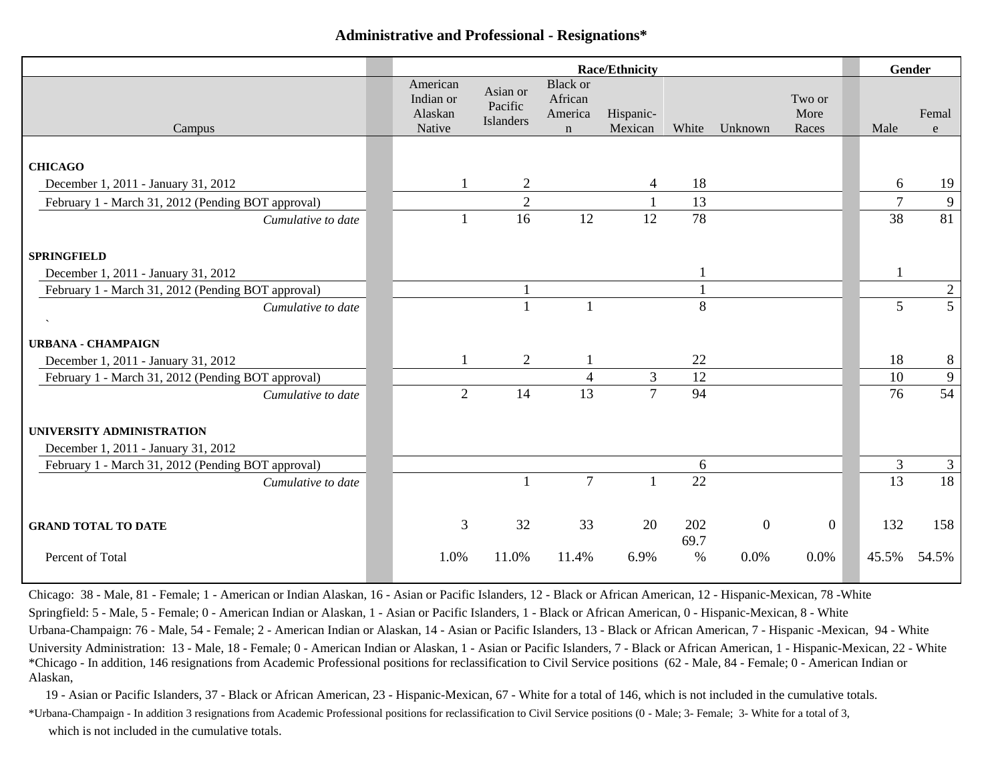### **Administrative and Professional - Resignations\***

|                                                    | <b>Race/Ethnicity</b>                      |                                         |                                                      |                      |             |                  |                         |                | Gender          |  |
|----------------------------------------------------|--------------------------------------------|-----------------------------------------|------------------------------------------------------|----------------------|-------------|------------------|-------------------------|----------------|-----------------|--|
| Campus                                             | American<br>Indian or<br>Alaskan<br>Native | Asian or<br>Pacific<br><b>Islanders</b> | <b>Black or</b><br>African<br>America<br>$\mathbf n$ | Hispanic-<br>Mexican | White       | Unknown          | Two or<br>More<br>Races | Male           | Femal<br>e      |  |
|                                                    |                                            |                                         |                                                      |                      |             |                  |                         |                |                 |  |
| <b>CHICAGO</b>                                     |                                            |                                         |                                                      |                      |             |                  |                         |                |                 |  |
| December 1, 2011 - January 31, 2012                |                                            | 2                                       |                                                      | 4                    | 18          |                  |                         | 6              | 19              |  |
| February 1 - March 31, 2012 (Pending BOT approval) |                                            | $\overline{2}$                          |                                                      |                      | 13          |                  |                         | $\overline{7}$ | 9               |  |
| Cumulative to date                                 |                                            | 16                                      | 12                                                   | 12                   | 78          |                  |                         | 38             | $\overline{81}$ |  |
| <b>SPRINGFIELD</b>                                 |                                            |                                         |                                                      |                      |             |                  |                         |                |                 |  |
| December 1, 2011 - January 31, 2012                |                                            |                                         |                                                      |                      |             |                  |                         |                |                 |  |
| February 1 - March 31, 2012 (Pending BOT approval) |                                            |                                         |                                                      |                      |             |                  |                         |                | $\mathfrak{2}$  |  |
| Cumulative to date                                 |                                            |                                         |                                                      |                      | 8           |                  |                         | 5              | $\overline{5}$  |  |
|                                                    |                                            |                                         |                                                      |                      |             |                  |                         |                |                 |  |
| <b>URBANA - CHAMPAIGN</b>                          |                                            |                                         |                                                      |                      |             |                  |                         |                |                 |  |
| December 1, 2011 - January 31, 2012                |                                            | $\overline{2}$                          |                                                      |                      | 22          |                  |                         | 18             | 8               |  |
| February 1 - March 31, 2012 (Pending BOT approval) |                                            |                                         | 4                                                    | 3                    | 12          |                  |                         | 10             | $\mathbf{9}$    |  |
| Cumulative to date                                 | $\overline{2}$                             | 14                                      | 13                                                   | $\overline{7}$       | 94          |                  |                         | 76             | 54              |  |
| UNIVERSITY ADMINISTRATION                          |                                            |                                         |                                                      |                      |             |                  |                         |                |                 |  |
| December 1, 2011 - January 31, 2012                |                                            |                                         |                                                      |                      |             |                  |                         |                |                 |  |
| February 1 - March 31, 2012 (Pending BOT approval) |                                            |                                         |                                                      |                      | 6           |                  |                         | 3              | 3               |  |
| Cumulative to date                                 |                                            |                                         | $\overline{7}$                                       | $\mathbf{1}$         | 22          |                  |                         | 13             | 18              |  |
|                                                    |                                            |                                         |                                                      |                      |             |                  |                         |                |                 |  |
| <b>GRAND TOTAL TO DATE</b>                         | 3                                          | 32                                      | 33                                                   | 20                   | 202<br>69.7 | $\boldsymbol{0}$ | $\mathbf{0}$            | 132            | 158             |  |
| Percent of Total                                   | 1.0%                                       | 11.0%                                   | 11.4%                                                | 6.9%                 | $\%$        | 0.0%             | 0.0%                    | 45.5%          | 54.5%           |  |

Chicago: 38 - Male, 81 - Female; 1 - American or Indian Alaskan, 16 - Asian or Pacific Islanders, 12 - Black or African American, 12 - Hispanic-Mexican, 78 -White Springfield: 5 - Male, 5 - Female; 0 - American Indian or Alaskan, 1 - Asian or Pacific Islanders, 1 - Black or African American, 0 - Hispanic-Mexican, 8 - White Urbana-Champaign: 76 - Male, 54 - Female; 2 - American Indian or Alaskan, 14 - Asian or Pacific Islanders, 13 - Black or African American, 7 - Hispanic -Mexican, 94 - White University Administration: 13 - Male, 18 - Female; 0 - American Indian or Alaskan, 1 - Asian or Pacific Islanders, 7 - Black or African American, 1 - Hispanic-Mexican, 22 - White \*Chicago - In addition, 146 resignations from Academic Professional positions for reclassification to Civil Service positions (62 - Male, 84 - Female; 0 - American Indian or Alaskan,

19 - Asian or Pacific Islanders, 37 - Black or African American, 23 - Hispanic-Mexican, 67 - White for a total of 146, which is not included in the cumulative totals. \*Urbana-Champaign - In addition 3 resignations from Academic Professional positions for reclassification to Civil Service positions (0 - Male; 3- Female; 3- White for a total of 3, which is not included in the cumulative totals.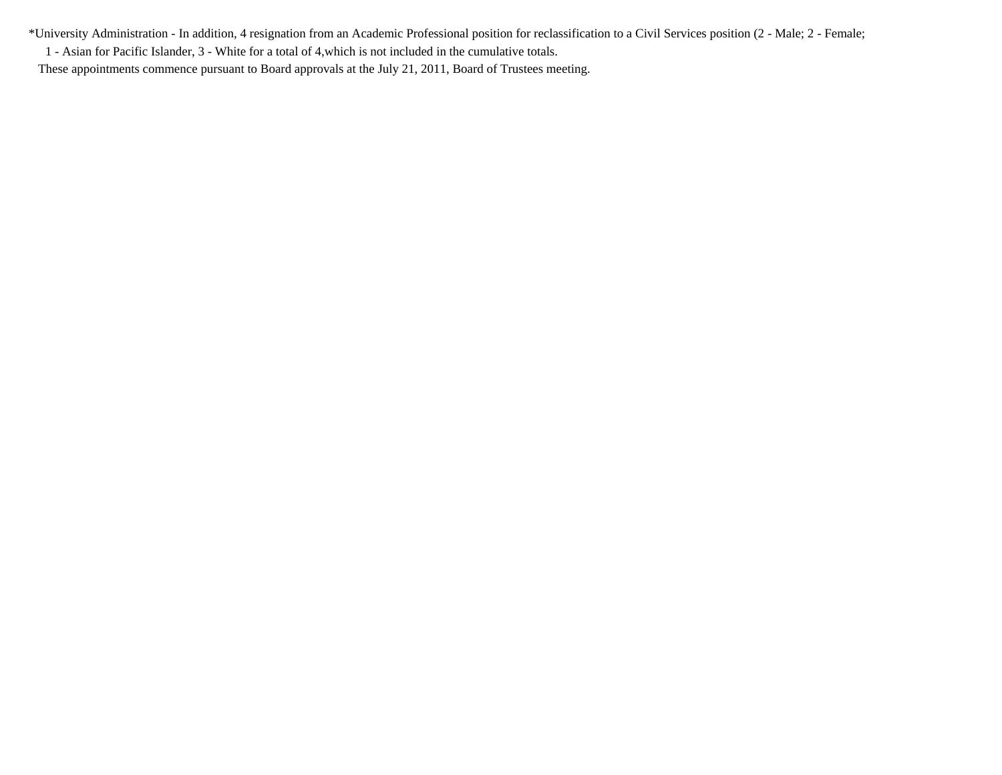\*University Administration - In addition, 4 resignation from an Academic Professional position for reclassification to a Civil Services position (2 - Male; 2 - Female; 1 - Asian for Pacific Islander, 3 - White for a total of 4,which is not included in the cumulative totals.

These appointments commence pursuant to Board approvals at the July 21, 2011, Board of Trustees meeting.